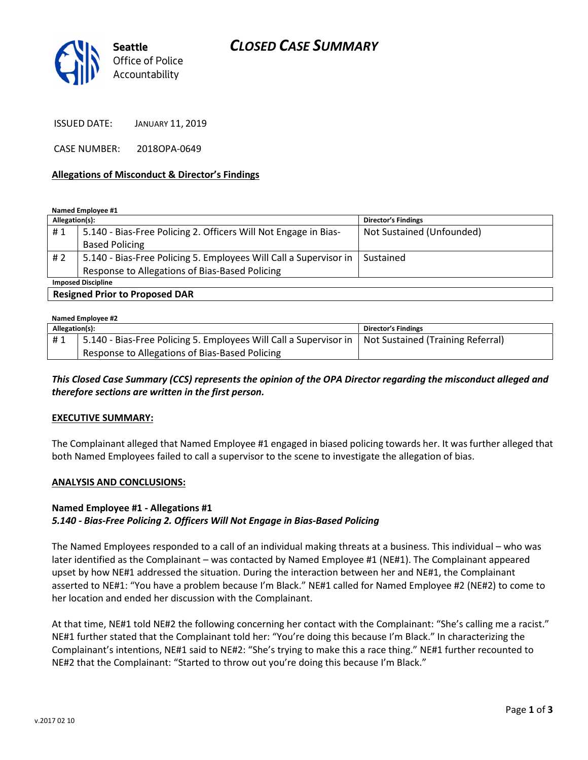# CLOSED CASE SUMMARY



ISSUED DATE: JANUARY 11, 2019

CASE NUMBER: 2018OPA-0649

#### Allegations of Misconduct & Director's Findings

Named Employee #1

| Allegation(s):            |                                                                   | <b>Director's Findings</b> |  |
|---------------------------|-------------------------------------------------------------------|----------------------------|--|
| #1                        | 5.140 - Bias-Free Policing 2. Officers Will Not Engage in Bias-   | Not Sustained (Unfounded)  |  |
|                           | <b>Based Policing</b>                                             |                            |  |
| #2                        | 5.140 - Bias-Free Policing 5. Employees Will Call a Supervisor in | Sustained                  |  |
|                           | Response to Allegations of Bias-Based Policing                    |                            |  |
| <b>Imposed Discipline</b> |                                                                   |                            |  |
| .                         |                                                                   |                            |  |

Resigned Prior to Proposed DAR

| Named Employee #2 |                                                                                                       |                            |  |
|-------------------|-------------------------------------------------------------------------------------------------------|----------------------------|--|
| Allegation(s):    |                                                                                                       | <b>Director's Findings</b> |  |
| #1                | 5.140 - Bias-Free Policing 5. Employees Will Call a Supervisor in   Not Sustained (Training Referral) |                            |  |
|                   | Response to Allegations of Bias-Based Policing                                                        |                            |  |

This Closed Case Summary (CCS) represents the opinion of the OPA Director regarding the misconduct alleged and therefore sections are written in the first person.

#### EXECUTIVE SUMMARY:

The Complainant alleged that Named Employee #1 engaged in biased policing towards her. It was further alleged that both Named Employees failed to call a supervisor to the scene to investigate the allegation of bias.

#### ANALYSIS AND CONCLUSIONS:

### Named Employee #1 - Allegations #1

### 5.140 - Bias-Free Policing 2. Officers Will Not Engage in Bias-Based Policing

The Named Employees responded to a call of an individual making threats at a business. This individual – who was later identified as the Complainant – was contacted by Named Employee #1 (NE#1). The Complainant appeared upset by how NE#1 addressed the situation. During the interaction between her and NE#1, the Complainant asserted to NE#1: "You have a problem because I'm Black." NE#1 called for Named Employee #2 (NE#2) to come to her location and ended her discussion with the Complainant.

At that time, NE#1 told NE#2 the following concerning her contact with the Complainant: "She's calling me a racist." NE#1 further stated that the Complainant told her: "You're doing this because I'm Black." In characterizing the Complainant's intentions, NE#1 said to NE#2: "She's trying to make this a race thing." NE#1 further recounted to NE#2 that the Complainant: "Started to throw out you're doing this because I'm Black."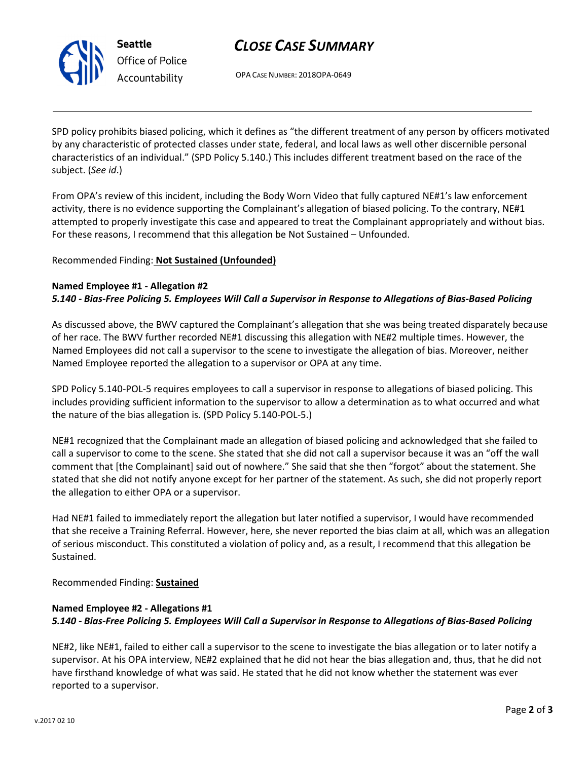

Seattle Office of Police Accountability

# CLOSE CASE SUMMARY

OPA CASE NUMBER: 2018OPA-0649

SPD policy prohibits biased policing, which it defines as "the different treatment of any person by officers motivated by any characteristic of protected classes under state, federal, and local laws as well other discernible personal characteristics of an individual." (SPD Policy 5.140.) This includes different treatment based on the race of the subject. (See id.)

From OPA's review of this incident, including the Body Worn Video that fully captured NE#1's law enforcement activity, there is no evidence supporting the Complainant's allegation of biased policing. To the contrary, NE#1 attempted to properly investigate this case and appeared to treat the Complainant appropriately and without bias. For these reasons, I recommend that this allegation be Not Sustained – Unfounded.

## Recommended Finding: Not Sustained (Unfounded)

### Named Employee #1 - Allegation #2

### 5.140 - Bias-Free Policing 5. Employees Will Call a Supervisor in Response to Allegations of Bias-Based Policing

As discussed above, the BWV captured the Complainant's allegation that she was being treated disparately because of her race. The BWV further recorded NE#1 discussing this allegation with NE#2 multiple times. However, the Named Employees did not call a supervisor to the scene to investigate the allegation of bias. Moreover, neither Named Employee reported the allegation to a supervisor or OPA at any time.

SPD Policy 5.140-POL-5 requires employees to call a supervisor in response to allegations of biased policing. This includes providing sufficient information to the supervisor to allow a determination as to what occurred and what the nature of the bias allegation is. (SPD Policy 5.140-POL-5.)

NE#1 recognized that the Complainant made an allegation of biased policing and acknowledged that she failed to call a supervisor to come to the scene. She stated that she did not call a supervisor because it was an "off the wall comment that [the Complainant] said out of nowhere." She said that she then "forgot" about the statement. She stated that she did not notify anyone except for her partner of the statement. As such, she did not properly report the allegation to either OPA or a supervisor.

Had NE#1 failed to immediately report the allegation but later notified a supervisor, I would have recommended that she receive a Training Referral. However, here, she never reported the bias claim at all, which was an allegation of serious misconduct. This constituted a violation of policy and, as a result, I recommend that this allegation be Sustained.

Recommended Finding: Sustained

## Named Employee #2 - Allegations #1 5.140 - Bias-Free Policing 5. Employees Will Call a Supervisor in Response to Allegations of Bias-Based Policing

NE#2, like NE#1, failed to either call a supervisor to the scene to investigate the bias allegation or to later notify a supervisor. At his OPA interview, NE#2 explained that he did not hear the bias allegation and, thus, that he did not have firsthand knowledge of what was said. He stated that he did not know whether the statement was ever reported to a supervisor.